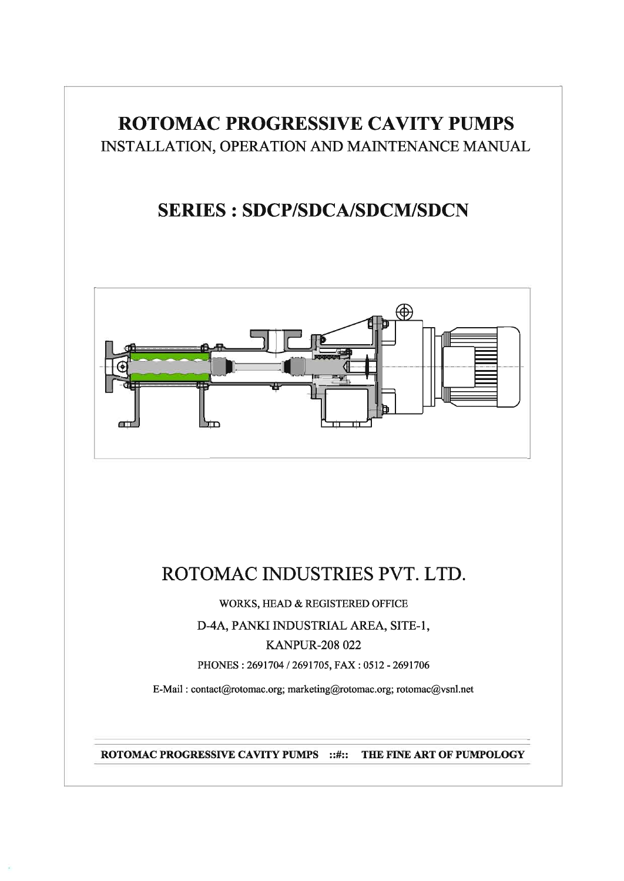# **ROTOMAC PROGRESSIVE CAVITY PUMPS** INSTALLATION, OPERATION AND MAINTENANCE MANUAL

# **SERIES : SDCP/SDCA/SDCM/SDCN**



# ROTOMAC INDUSTRIES PVT. LTD.

WORKS, HEAD & REGISTERED OFFICE

# D-4A, PANKI INDUSTRIAL AREA, SITE-1,

# **KANPUR-208 022**

PHONES: 2691704 / 2691705, FAX: 0512 - 2691706

E-Mail: contact@rotomac.org; marketing@rotomac.org; rotomac@vsnl.net

ROTOMAC PROGRESSIVE CAVITY PUMPS :: #:: THE FINE ART OF PUMPOLOGY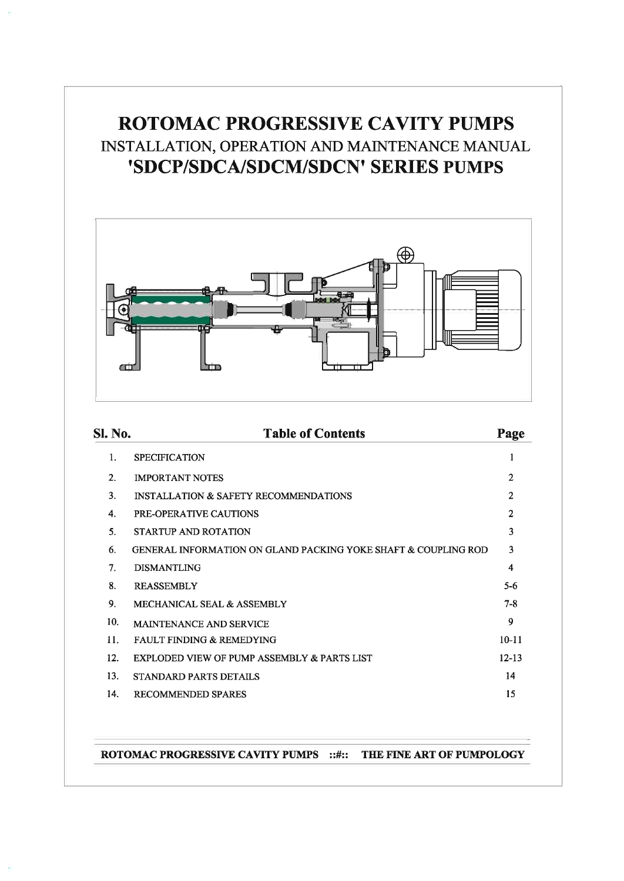# ROTOMAC PROGRESSIVE CAVITY PUMPS INSTALLATION, OPERATION AND MAINTENANCE MANUAL 'SDCP/SDCA/SDCM/SDCN' SERIES PUMPS



| <b>SI. No.</b>  | <b>Table of Contents</b>                                                  | Page           |
|-----------------|---------------------------------------------------------------------------|----------------|
| $\mathbf{1}$ .  | <b>SPECIFICATION</b>                                                      | 1              |
| 2.              | <b>IMPORTANT NOTES</b>                                                    | $\overline{2}$ |
| $\mathbf{3}$    | <b>INSTALLATION &amp; SAFETY RECOMMENDATIONS</b>                          | $\mathfrak{D}$ |
| 4.              | PRE-OPERATIVE CAUTIONS                                                    | $\overline{c}$ |
| 5.              | STARTUP AND ROTATION                                                      | 3              |
| 6.              | <b>GENERAL INFORMATION ON GLAND PACKING YOKE SHAFT &amp; COUPLING ROD</b> | 3              |
| 7 <sub>1</sub>  | <b>DISMANTLING</b>                                                        | 4              |
| 8.              | <b>REASSEMBLY</b>                                                         | $5-6$          |
| 9.              | MECHANICAL SEAL & ASSEMBLY                                                | $7 - 8$        |
| 10.             | <b>MAINTENANCE AND SERVICE</b>                                            | 9              |
| 11 <sub>1</sub> | <b>FAULT FINDING &amp; REMEDYING</b>                                      | $10-11$        |
| 12.             | EXPLODED VIEW OF PUMP ASSEMBLY & PARTS LIST                               | $12 - 13$      |
| 13.             | <b>STANDARD PARTS DETAILS</b>                                             | 14             |
| 14.             | <b>RECOMMENDED SPARES</b>                                                 | 15             |

ROTOMAC PROGRESSIVE CAVITY PUMPS :: #:: THE FINE ART OF PUMPOLOGY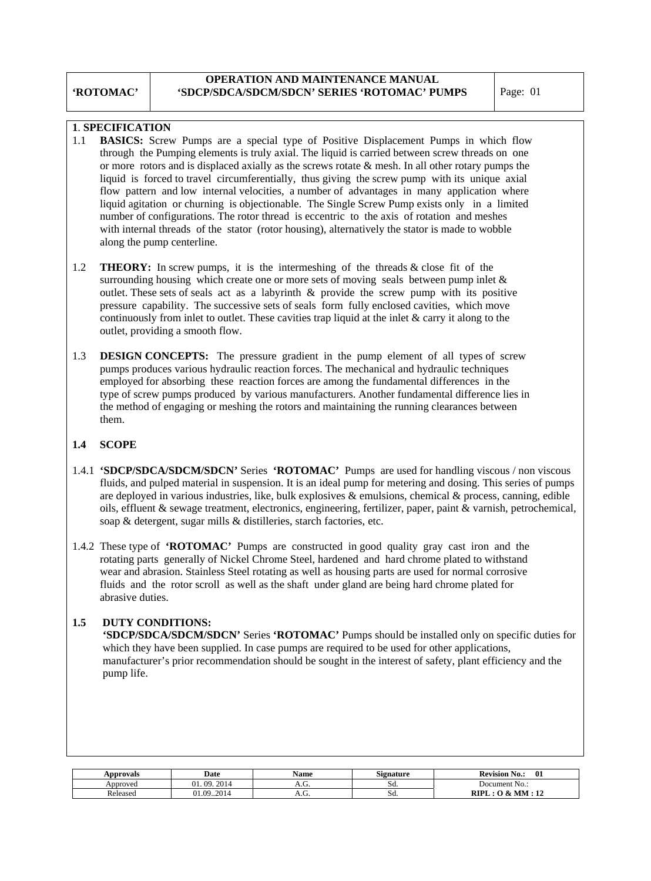# **OPERATION AND MAINTENANCE MANUAL 'SDCP/SDCA/SDCM/SDCN' SERIES 'ROTOMAC' PUMPS** Page: 01

# **1**. **SPECIFICATION**

- 1.1 **BASICS:** Screw Pumps are a special type of Positive Displacement Pumps in which flow through the Pumping elements is truly axial. The liquid is carried between screw threads on one or more rotors and is displaced axially as the screws rotate & mesh. In all other rotary pumps the liquid is forced to travel circumferentially, thus giving the screw pump with its unique axial flow pattern and low internal velocities, a number of advantages in many application where liquid agitation or churning is objectionable. The Single Screw Pump exists only in a limited number of configurations. The rotor thread is eccentric to the axis of rotation and meshes with internal threads of the stator (rotor housing), alternatively the stator is made to wobble along the pump centerline.
- 1.2 **THEORY:** In screw pumps, it is the intermeshing of the threads & close fit of the surrounding housing which create one or more sets of moving seals between pump inlet  $\&$  outlet. These sets of seals act as a labyrinth & provide the screw pump with its positive pressure capability. The successive sets of seals form fully enclosed cavities, which move continuously from inlet to outlet. These cavities trap liquid at the inlet & carry it along to the outlet, providing a smooth flow.
- 1.3 **DESIGN CONCEPTS:** The pressure gradient in the pump element of all types of screw pumps produces various hydraulic reaction forces. The mechanical and hydraulic techniques employed for absorbing these reaction forces are among the fundamental differences in the type of screw pumps produced by various manufacturers. Another fundamental difference lies in the method of engaging or meshing the rotors and maintaining the running clearances between them.

# **1.4 SCOPE**

- 1.4.1 **'SDCP/SDCA/SDCM/SDCN'** Series **'ROTOMAC'** Pumps are used for handling viscous / non viscous fluids, and pulped material in suspension. It is an ideal pump for metering and dosing. This series of pumps are deployed in various industries, like, bulk explosives  $\&$  emulsions, chemical  $\&$  process, canning, edible oils, effluent & sewage treatment, electronics, engineering, fertilizer, paper, paint & varnish, petrochemical, soap & detergent, sugar mills & distilleries, starch factories, etc.
- 1.4.2 These type of **'ROTOMAC'** Pumps are constructed in good quality gray cast iron and the rotating parts generally of Nickel Chrome Steel, hardened and hard chrome plated to withstand wear and abrasion. Stainless Steel rotating as well as housing parts are used for normal corrosive fluids and the rotor scroll as well as the shaft under gland are being hard chrome plated for abrasive duties.

# **1.5 DUTY CONDITIONS:**

 **'SDCP/SDCA/SDCM/SDCN'** Series **'ROTOMAC'** Pumps should be installed only on specific duties for which they have been supplied. In case pumps are required to be used for other applications, manufacturer's prior recommendation should be sought in the interest of safety, plant efficiency and the pump life.

| Approvals | Date              | Name  | o۰<br>Signature | <b>Revision</b> I<br>- -<br>$\bf{0}$<br>No.: |
|-----------|-------------------|-------|-----------------|----------------------------------------------|
| Approved  | 2014<br>21.<br>09 | л.ч.  | SQ.             | $\sim$ $\sim$<br>Document No.:               |
| Released  | 92014<br>01.09    | л. О. | SQ.             | RIPI<br>$\&$ MM<br>$-14$                     |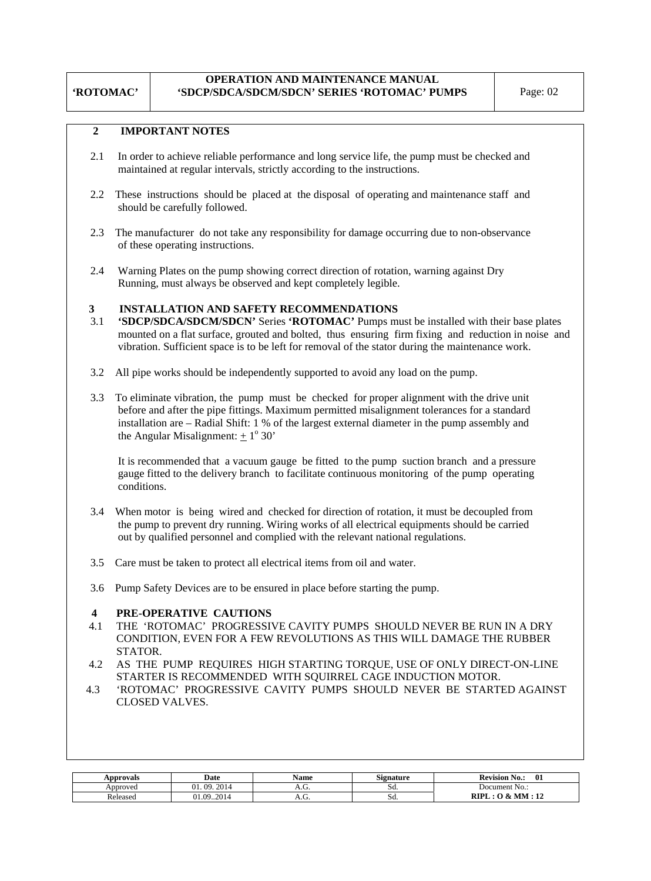# **OPERATION AND MAINTENANCE MANUAL 'SDCP/SDCA/SDCM/SDCN' SERIES 'ROTOMAC' PUMPS** Page: 02

# **2 IMPORTANT NOTES**

**'ROTOMAC'** 

- 2.1 In order to achieve reliable performance and long service life, the pump must be checked and maintained at regular intervals, strictly according to the instructions.
- 2.2 These instructions should be placed at the disposal of operating and maintenance staff and should be carefully followed.
- 2.3 The manufacturer do not take any responsibility for damage occurring due to non-observance of these operating instructions.
- 2.4 Warning Plates on the pump showing correct direction of rotation, warning against Dry Running, must always be observed and kept completely legible.

# **3 INSTALLATION AND SAFETY RECOMMENDATIONS**

- 3.1 **'SDCP/SDCA/SDCM/SDCN'** Series **'ROTOMAC'** Pumps must be installed with their base plates mounted on a flat surface, grouted and bolted, thus ensuring firm fixing and reduction in noise and vibration. Sufficient space is to be left for removal of the stator during the maintenance work.
- 3.2 All pipe works should be independently supported to avoid any load on the pump.
- 3.3 To eliminate vibration, the pump must be checked for proper alignment with the drive unit before and after the pipe fittings. Maximum permitted misalignment tolerances for a standard installation are – Radial Shift: 1 % of the largest external diameter in the pump assembly and the Angular Misalignment:  $\pm 1^{\circ} 30'$

 It is recommended that a vacuum gauge be fitted to the pump suction branch and a pressure gauge fitted to the delivery branch to facilitate continuous monitoring of the pump operating conditions.

- 3.4 When motor is being wired and checked for direction of rotation, it must be decoupled from the pump to prevent dry running. Wiring works of all electrical equipments should be carried out by qualified personnel and complied with the relevant national regulations.
- 3.5 Care must be taken to protect all electrical items from oil and water.
- 3.6 Pump Safety Devices are to be ensured in place before starting the pump.

## **4 PRE-OPERATIVE CAUTIONS**

- 4.1THE 'ROTOMAC' PROGRESSIVE CAVITY PUMPS SHOULD NEVER BE RUN IN A DRY CONDITION, EVEN FOR A FEW REVOLUTIONS AS THIS WILL DAMAGE THE RUBBER STATOR.
- 4.2 AS THE PUMP REQUIRES HIGH STARTING TORQUE, USE OF ONLY DIRECT-ON-LINE STARTER IS RECOMMENDED WITH SQUIRREL CAGE INDUCTION MOTOR.
- 4.3 'ROTOMAC' PROGRESSIVE CAVITY PUMPS SHOULD NEVER BE STARTED AGAINST CLOSED VALVES.

| Approvals | Date                      | <b>Name</b> | $\sim$<br>Signature | 01<br><b>Revision</b><br>N0.:      |
|-----------|---------------------------|-------------|---------------------|------------------------------------|
| Approved  | 2014<br>01<br>$^{\Omega}$ | A.V.        | SG.                 | Document No.:                      |
| Released  | $-2014$<br>.09            |             | Sd.                 | DIDI<br>MM<br>$\overline{1}$<br>rш |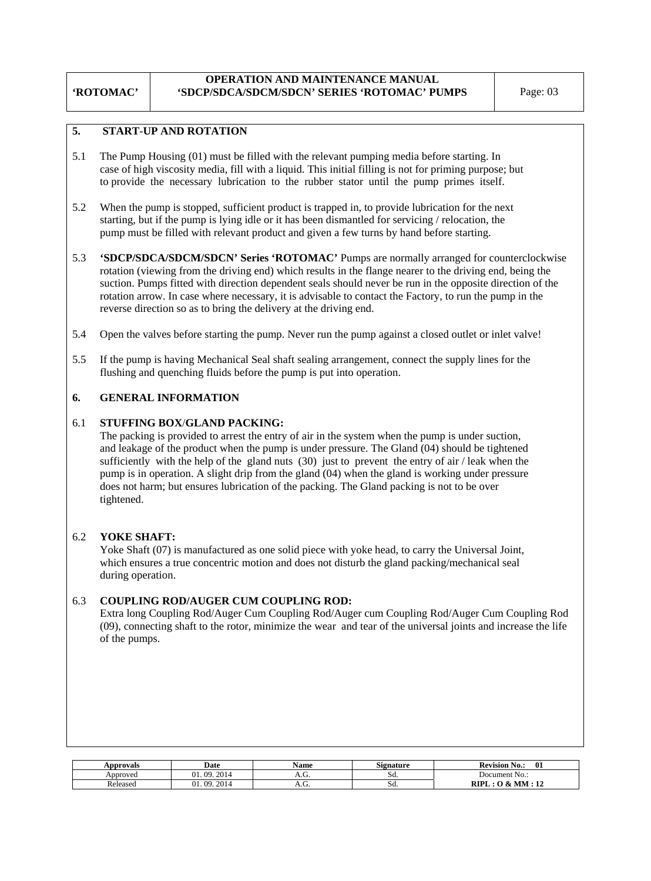# **OPERATION AND MAINTENANCE MANUAL 'SDCP/SDCA/SDCM/SDCN' SERIES 'ROTOMAC' PUMPS** Page: 03

# **5. START**-**UP AND ROTATION**

- 5.1 The Pump Housing (01) must be filled with the relevant pumping media before starting. In case of high viscosity media, fill with a liquid. This initial filling is not for priming purpose; but to provide the necessary lubrication to the rubber stator until the pump primes itself.
- 5.2 When the pump is stopped, sufficient product is trapped in, to provide lubrication for the next starting, but if the pump is lying idle or it has been dismantled for servicing / relocation, the pump must be filled with relevant product and given a few turns by hand before starting.
- 5.3 **'SDCP/SDCA/SDCM/SDCN' Series 'ROTOMAC'** Pumps are normally arranged for counterclockwise rotation (viewing from the driving end) which results in the flange nearer to the driving end, being the suction. Pumps fitted with direction dependent seals should never be run in the opposite direction of the rotation arrow. In case where necessary, it is advisable to contact the Factory, to run the pump in the reverse direction so as to bring the delivery at the driving end.
- 5.4 Open the valves before starting the pump. Never run the pump against a closed outlet or inlet valve!
- 5.5 If the pump is having Mechanical Seal shaft sealing arrangement, connect the supply lines for the flushing and quenching fluids before the pump is put into operation.

# **6. GENERAL INFORMATION**

## 6.1 **STUFFING BOX**/**GLAND PACKING:**

 The packing is provided to arrest the entry of air in the system when the pump is under suction, and leakage of the product when the pump is under pressure. The Gland (04) should be tightened sufficiently with the help of the gland nuts  $(30)$  just to prevent the entry of air / leak when the pump is in operation. A slight drip from the gland (04) when the gland is working under pressure does not harm; but ensures lubrication of the packing. The Gland packing is not to be over tightened.

## 6.2 **YOKE SHAFT:**

 Yoke Shaft (07) is manufactured as one solid piece with yoke head, to carry the Universal Joint, which ensures a true concentric motion and does not disturb the gland packing/mechanical seal during operation.

## 6.3 **COUPLING ROD/AUGER CUM COUPLING ROD:**

Extra long Coupling Rod/Auger Cum Coupling Rod/Auger cum Coupling Rod/Auger Cum Coupling Rod (09), connecting shaft to the rotor, minimize the wear and tear of the universal joints and increase the life of the pumps.

| Approvals | Date                     | Name       | $\sim$<br>Signature | -01<br>-<br><b>Revision</b><br>No.:               |  |
|-----------|--------------------------|------------|---------------------|---------------------------------------------------|--|
| Approved  | 2014<br>$^{\circ}$<br>na | $\cdots$ . | IJU.                | Document No.:                                     |  |
| Released  | 2014<br>$^{\circ}$<br>ΛQ | A.V.       | JЧ.                 | MM<br>RIPI<br>$\rightarrow$<br>₽.<br>$\mathbf{H}$ |  |

# **'ROTOMAC'**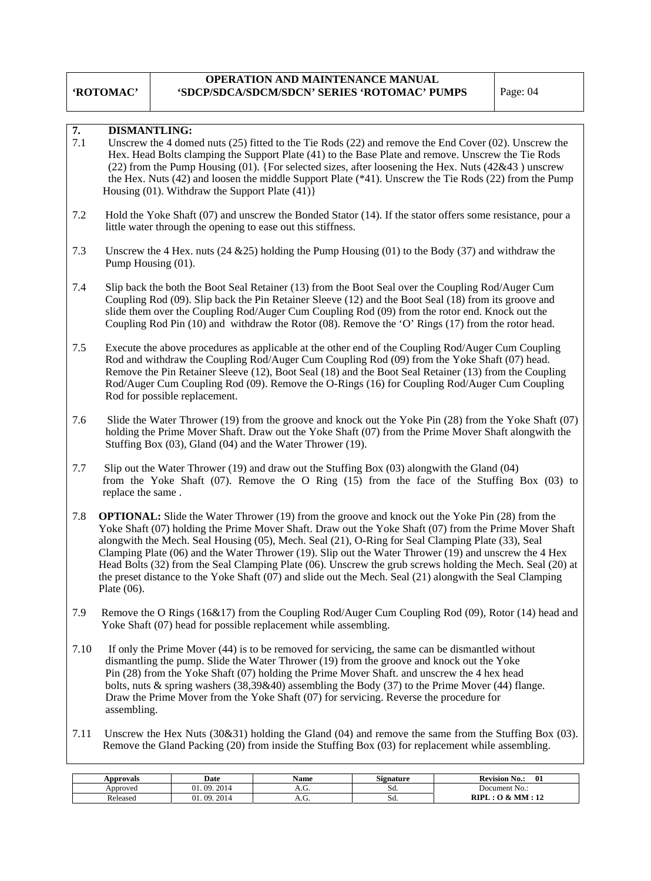#### **'ROTOMAC' OPERATION AND MAINTENANCE MANUAL 'SDCP/SDCA/SDCM/SDCN' SERIES 'ROTOMAC' PUMPS** | Page: 04

# **7. DISMANTLING:**

- 7.1 Unscrew the 4 domed nuts (25) fitted to the Tie Rods (22) and remove the End Cover (02). Unscrew the Hex. Head Bolts clamping the Support Plate (41) to the Base Plate and remove. Unscrew the Tie Rods (22) from the Pump Housing (01). {For selected sizes, after loosening the Hex. Nuts (42&43 ) unscrew the Hex. Nuts (42) and loosen the middle Support Plate (\*41). Unscrew the Tie Rods (22) from the Pump Housing (01). Withdraw the Support Plate (41)}
- 7.2 Hold the Yoke Shaft (07) and unscrew the Bonded Stator (14). If the stator offers some resistance, pour a little water through the opening to ease out this stiffness.
- 7.3 Unscrew the 4 Hex. nuts (24 &25) holding the Pump Housing (01) to the Body (37) and withdraw the Pump Housing (01).
- 7.4 Slip back the both the Boot Seal Retainer (13) from the Boot Seal over the Coupling Rod/Auger Cum Coupling Rod (09). Slip back the Pin Retainer Sleeve (12) and the Boot Seal (18) from its groove and slide them over the Coupling Rod/Auger Cum Coupling Rod (09) from the rotor end. Knock out the Coupling Rod Pin (10) and withdraw the Rotor (08). Remove the 'O' Rings (17) from the rotor head.
- 7.5 Execute the above procedures as applicable at the other end of the Coupling Rod/Auger Cum Coupling Rod and withdraw the Coupling Rod/Auger Cum Coupling Rod (09) from the Yoke Shaft (07) head. Remove the Pin Retainer Sleeve (12), Boot Seal (18) and the Boot Seal Retainer (13) from the Coupling Rod/Auger Cum Coupling Rod (09). Remove the O-Rings (16) for Coupling Rod/Auger Cum Coupling Rod for possible replacement.
- 7.6 Slide the Water Thrower (19) from the groove and knock out the Yoke Pin (28) from the Yoke Shaft (07) holding the Prime Mover Shaft. Draw out the Yoke Shaft (07) from the Prime Mover Shaft alongwith the Stuffing Box (03), Gland (04) and the Water Thrower (19).
- 7.7 Slip out the Water Thrower (19) and draw out the Stuffing Box (03) alongwith the Gland (04) from the Yoke Shaft (07). Remove the O Ring (15) from the face of the Stuffing Box (03) to replace the same .
- 7.8 **OPTIONAL:** Slide the Water Thrower (19) from the groove and knock out the Yoke Pin (28) from the Yoke Shaft (07) holding the Prime Mover Shaft. Draw out the Yoke Shaft (07) from the Prime Mover Shaft alongwith the Mech. Seal Housing (05), Mech. Seal (21), O-Ring for Seal Clamping Plate (33), Seal Clamping Plate (06) and the Water Thrower (19). Slip out the Water Thrower (19) and unscrew the 4 Hex Head Bolts (32) from the Seal Clamping Plate (06). Unscrew the grub screws holding the Mech. Seal (20) at the preset distance to the Yoke Shaft (07) and slide out the Mech. Seal (21) alongwith the Seal Clamping Plate (06).
- 7.9 Remove the O Rings (16&17) from the Coupling Rod/Auger Cum Coupling Rod (09), Rotor (14) head and Yoke Shaft (07) head for possible replacement while assembling.
- 7.10 If only the Prime Mover (44) is to be removed for servicing, the same can be dismantled without dismantling the pump. Slide the Water Thrower (19) from the groove and knock out the Yoke Pin (28) from the Yoke Shaft (07) holding the Prime Mover Shaft. and unscrew the 4 hex head bolts, nuts & spring washers (38,39&40) assembling the Body (37) to the Prime Mover (44) flange. Draw the Prime Mover from the Yoke Shaft (07) for servicing. Reverse the procedure for assembling.
- 7.11 Unscrew the Hex Nuts (30&31) holding the Gland (04) and remove the same from the Stuffing Box (03). Remove the Gland Packing (20) from inside the Stuffing Box (03) for replacement while assembling.

| Approvals | Date              | Name | $\sim$<br>Signature | -01<br><b>Revision</b><br>No.: |  |  |
|-----------|-------------------|------|---------------------|--------------------------------|--|--|
| Approved  | 2014<br>ng<br>Λ1  | л.ч. | SQ.                 | Document No.:                  |  |  |
| Released  | 2014<br>09.<br>01 | л.ч. | Sa.                 | RIPI<br>MМ<br>$\sim$           |  |  |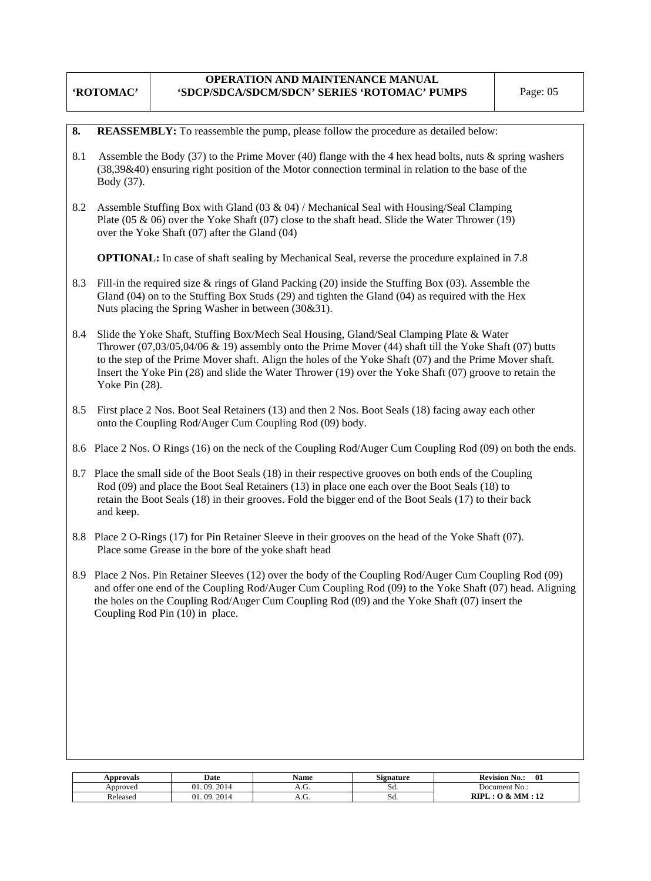#### **'ROTOMAC' OPERATION AND MAINTENANCE MANUAL 'SDCP/SDCA/SDCM/SDCN' SERIES 'ROTOMAC' PUMPS** Page: 05

|  |  | <b>8.</b> REASSEMBLY: To reassemble the pump, please follow the procedure as detailed below: |  |  |  |  |
|--|--|----------------------------------------------------------------------------------------------|--|--|--|--|
|--|--|----------------------------------------------------------------------------------------------|--|--|--|--|

- 8.1 Assemble the Body (37) to the Prime Mover (40) flange with the 4 hex head bolts, nuts & spring washers (38,39&40) ensuring right position of the Motor connection terminal in relation to the base of the Body (37).
- 8.2 Assemble Stuffing Box with Gland (03 & 04) / Mechanical Seal with Housing/Seal Clamping Plate (05 & 06) over the Yoke Shaft (07) close to the shaft head. Slide the Water Thrower (19) over the Yoke Shaft (07) after the Gland (04)

**OPTIONAL:** In case of shaft sealing by Mechanical Seal, reverse the procedure explained in 7.8

- 8.3 Fill-in the required size & rings of Gland Packing (20) inside the Stuffing Box (03). Assemble the Gland (04) on to the Stuffing Box Studs (29) and tighten the Gland (04) as required with the Hex Nuts placing the Spring Washer in between (30&31).
- 8.4 Slide the Yoke Shaft, Stuffing Box/Mech Seal Housing, Gland/Seal Clamping Plate & Water Thrower (07,03/05,04/06 & 19) assembly onto the Prime Mover (44) shaft till the Yoke Shaft (07) butts to the step of the Prime Mover shaft. Align the holes of the Yoke Shaft (07) and the Prime Mover shaft. Insert the Yoke Pin (28) and slide the Water Thrower (19) over the Yoke Shaft (07) groove to retain the Yoke Pin (28).
- 8.5 First place 2 Nos. Boot Seal Retainers (13) and then 2 Nos. Boot Seals (18) facing away each other onto the Coupling Rod/Auger Cum Coupling Rod (09) body.
- 8.6 Place 2 Nos. O Rings (16) on the neck of the Coupling Rod/Auger Cum Coupling Rod (09) on both the ends.
- 8.7 Place the small side of the Boot Seals (18) in their respective grooves on both ends of the Coupling Rod (09) and place the Boot Seal Retainers (13) in place one each over the Boot Seals (18) to retain the Boot Seals (18) in their grooves. Fold the bigger end of the Boot Seals (17) to their back and keep.
- 8.8 Place 2 O-Rings (17) for Pin Retainer Sleeve in their grooves on the head of the Yoke Shaft (07). Place some Grease in the bore of the yoke shaft head
- 8.9 Place 2 Nos. Pin Retainer Sleeves (12) over the body of the Coupling Rod/Auger Cum Coupling Rod (09) and offer one end of the Coupling Rod/Auger Cum Coupling Rod (09) to the Yoke Shaft (07) head. Aligning the holes on the Coupling Rod/Auger Cum Coupling Rod (09) and the Yoke Shaft (07) insert the Coupling Rod Pin (10) in place.

| Approvals       | Date                                           | <b>Name</b> | o۰<br>Signature | $\mathbf{0}$<br><b>Revision No.:</b> |
|-----------------|------------------------------------------------|-------------|-----------------|--------------------------------------|
| Approved        | 2014<br>Λ1<br>na<br>∠ບ⊥⊐                       | .           | IJU.            | Document No.:                        |
| <b>Released</b> | $\mathbf{A}$ $\mathbf{A}$<br>$^{\Omega}$<br>ΩO | . ت.        | ou.             | וחזמ<br>$\rightarrow$<br>мм          |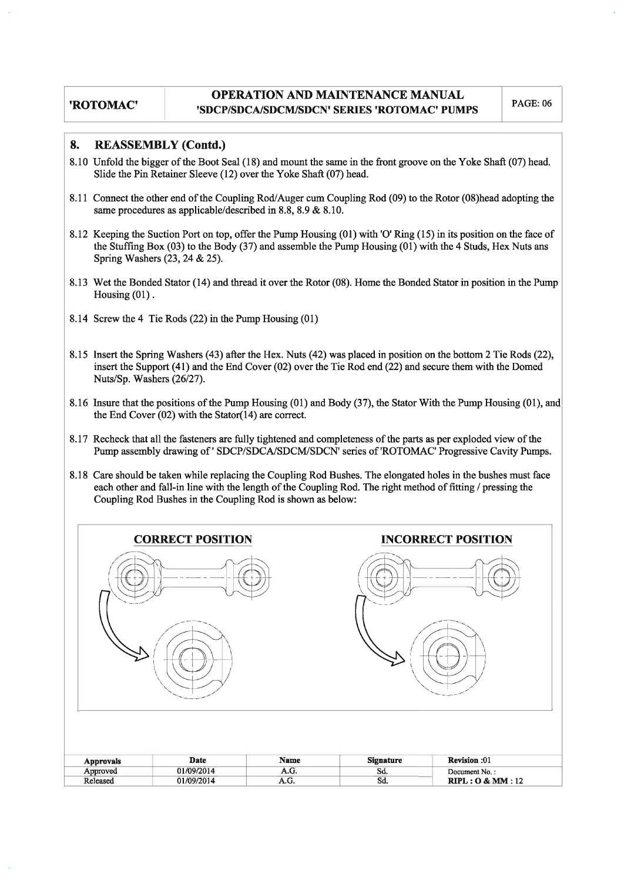#### **REASSEMBLY (Contd.)**  $\mathbf{R}$

- 8.10 Unfold the bigger of the Boot Seal (18) and mount the same in the front groove on the Yoke Shaft (07) head. Slide the Pin Retainer Sleeve (12) over the Yoke Shaft (07) head.
- 8.11 Connect the other end of the Coupling Rod/Auger cum Coupling Rod (09) to the Rotor (08) head adopting the same procedures as applicable/described in 8.8, 8.9 & 8.10.
- 8.12 Keeping the Suction Port on top, offer the Pump Housing (01) with 'O' Ring (15) in its position on the face of the Stuffing Box (03) to the Body (37) and assemble the Pump Housing (01) with the 4 Studs, Hex Nuts ans Spring Washers (23, 24 & 25).
- 8.13 Wet the Bonded Stator (14) and thread it over the Rotor (08). Home the Bonded Stator in position in the Pump Housing  $(01)$ .
- 8.14 Screw the 4 Tie Rods (22) in the Pump Housing (01)
- 8.15 Insert the Spring Washers (43) after the Hex. Nuts (42) was placed in position on the bottom 2 Tie Rods (22), insert the Support  $(41)$  and the End Cover  $(02)$  over the Tie Rod end  $(22)$  and secure them with the Domed Nuts/Sp. Washers (26/27).
- 8.16 Insure that the positions of the Pump Housing (01) and Body (37), the Stator With the Pump Housing (01), and the End Cover  $(02)$  with the Stator $(14)$  are correct.
- 8.17 Recheck that all the fasteners are fully tightened and completeness of the parts as per exploded view of the Pump assembly drawing of ' SDCP/SDCA/SDCM/SDCN' series of 'ROTOMAC' Progressive Cavity Pumps.
- 8.18 Care should be taken while replacing the Coupling Rod Bushes. The elongated holes in the bushes must face each other and fall-in line with the length of the Coupling Rod. The right method of fitting / pressing the Coupling Rod Bushes in the Coupling Rod is shown as below:

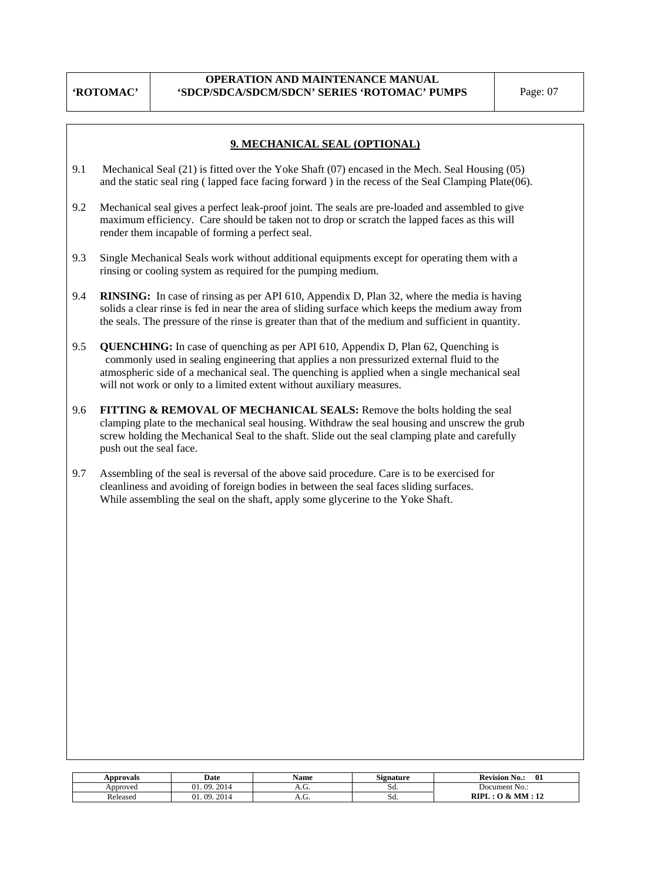# **OPERATION AND MAINTENANCE MANUAL 'SDCP/SDCA/SDCM/SDCN' SERIES 'ROTOMAC' PUMPS** Page: 07

# **9. MECHANICAL SEAL (OPTIONAL)**

- 9.1 Mechanical Seal (21) is fitted over the Yoke Shaft (07) encased in the Mech. Seal Housing (05) and the static seal ring ( lapped face facing forward ) in the recess of the Seal Clamping Plate(06).
- 9.2 Mechanical seal gives a perfect leak-proof joint. The seals are pre-loaded and assembled to give maximum efficiency. Care should be taken not to drop or scratch the lapped faces as this will render them incapable of forming a perfect seal.
- 9.3 Single Mechanical Seals work without additional equipments except for operating them with a rinsing or cooling system as required for the pumping medium.
- 9.4 **RINSING:** In case of rinsing as per API 610, Appendix D, Plan 32, where the media is having solids a clear rinse is fed in near the area of sliding surface which keeps the medium away from the seals. The pressure of the rinse is greater than that of the medium and sufficient in quantity.
- 9.5 **QUENCHING:** In case of quenching as per API 610, Appendix D, Plan 62, Quenching is commonly used in sealing engineering that applies a non pressurized external fluid to the atmospheric side of a mechanical seal. The quenching is applied when a single mechanical seal will not work or only to a limited extent without auxiliary measures.
- 9.6 **FITTING & REMOVAL OF MECHANICAL SEALS:** Remove the bolts holding the seal clamping plate to the mechanical seal housing. Withdraw the seal housing and unscrew the grub screw holding the Mechanical Seal to the shaft. Slide out the seal clamping plate and carefully push out the seal face.
- 9.7 Assembling of the seal is reversal of the above said procedure. Care is to be exercised for cleanliness and avoiding of foreign bodies in between the seal faces sliding surfaces. While assembling the seal on the shaft, apply some glycerine to the Yoke Shaft.

| ⊾pprovals | Date                            | Name | <b>Signature</b> | 01<br><b>Revision No.:</b>              |
|-----------|---------------------------------|------|------------------|-----------------------------------------|
| Approved  | 2014<br>$^{\circ}$<br>$\Omega$  | A.V  | SQ.              | Document No.:                           |
| Released  | 201.<br>$^{\circ}$<br>∩Q<br>201 |      | Sa.              | RIPI<br>MM<br>12<br>. .<br>$\mathbf{r}$ |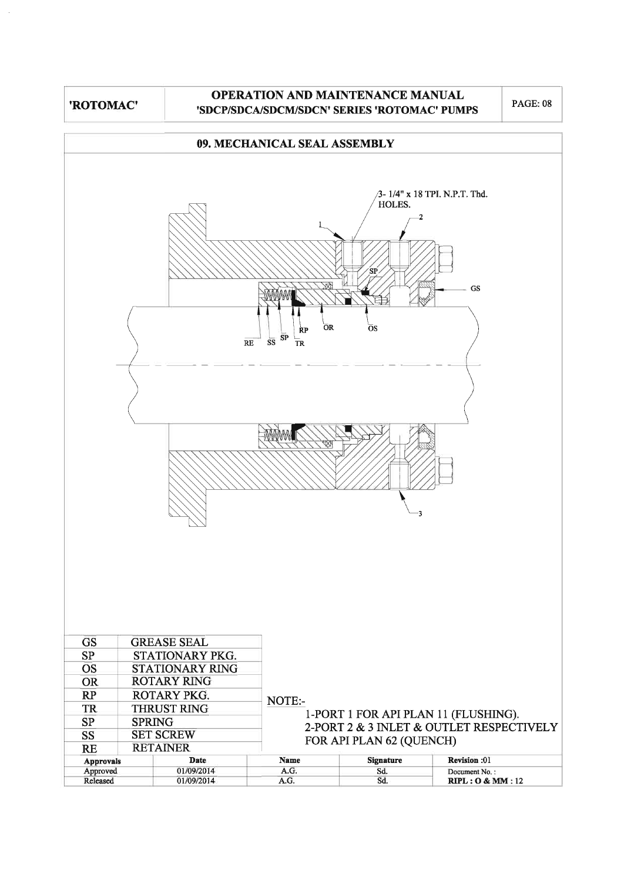# OPERATION AND MAINTENANCE MANUAL 'SDCP/SDCA/SDCM/SDCN' SERIES 'ROTOMAC' PUMPS

**PAGE: 08** 

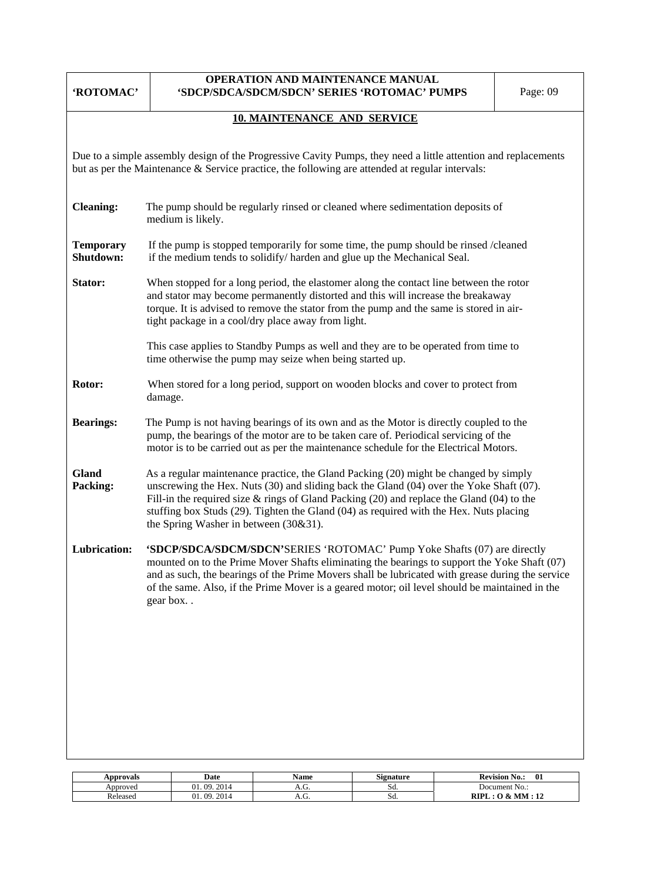| 'ROTOMAC'                                                                                                                                                                                                            | OPERATION AND MAINTENANCE MANUAL<br>'SDCP/SDCA/SDCM/SDCN' SERIES 'ROTOMAC' PUMPS                                                                                                                                                                                                                                                                                                                                             | Page: 09                                                                                                                                                                                                                                                              |  |  |  |  |  |  |  |  |  |  |
|----------------------------------------------------------------------------------------------------------------------------------------------------------------------------------------------------------------------|------------------------------------------------------------------------------------------------------------------------------------------------------------------------------------------------------------------------------------------------------------------------------------------------------------------------------------------------------------------------------------------------------------------------------|-----------------------------------------------------------------------------------------------------------------------------------------------------------------------------------------------------------------------------------------------------------------------|--|--|--|--|--|--|--|--|--|--|
| <b>10. MAINTENANCE AND SERVICE</b>                                                                                                                                                                                   |                                                                                                                                                                                                                                                                                                                                                                                                                              |                                                                                                                                                                                                                                                                       |  |  |  |  |  |  |  |  |  |  |
| Due to a simple assembly design of the Progressive Cavity Pumps, they need a little attention and replacements<br>but as per the Maintenance $\&$ Service practice, the following are attended at regular intervals: |                                                                                                                                                                                                                                                                                                                                                                                                                              |                                                                                                                                                                                                                                                                       |  |  |  |  |  |  |  |  |  |  |
| <b>Cleaning:</b>                                                                                                                                                                                                     | The pump should be regularly rinsed or cleaned where sedimentation deposits of<br>medium is likely.                                                                                                                                                                                                                                                                                                                          |                                                                                                                                                                                                                                                                       |  |  |  |  |  |  |  |  |  |  |
| <b>Temporary</b><br>Shutdown:                                                                                                                                                                                        | If the pump is stopped temporarily for some time, the pump should be rinsed /cleaned<br>if the medium tends to solidify/harden and glue up the Mechanical Seal.                                                                                                                                                                                                                                                              |                                                                                                                                                                                                                                                                       |  |  |  |  |  |  |  |  |  |  |
| Stator:                                                                                                                                                                                                              | tight package in a cool/dry place away from light.                                                                                                                                                                                                                                                                                                                                                                           | When stopped for a long period, the elastomer along the contact line between the rotor<br>and stator may become permanently distorted and this will increase the breakaway<br>torque. It is advised to remove the stator from the pump and the same is stored in air- |  |  |  |  |  |  |  |  |  |  |
|                                                                                                                                                                                                                      | This case applies to Standby Pumps as well and they are to be operated from time to<br>time otherwise the pump may seize when being started up.                                                                                                                                                                                                                                                                              |                                                                                                                                                                                                                                                                       |  |  |  |  |  |  |  |  |  |  |
| Rotor:                                                                                                                                                                                                               | When stored for a long period, support on wooden blocks and cover to protect from<br>damage.                                                                                                                                                                                                                                                                                                                                 |                                                                                                                                                                                                                                                                       |  |  |  |  |  |  |  |  |  |  |
| <b>Bearings:</b>                                                                                                                                                                                                     | The Pump is not having bearings of its own and as the Motor is directly coupled to the<br>pump, the bearings of the motor are to be taken care of. Periodical servicing of the<br>motor is to be carried out as per the maintenance schedule for the Electrical Motors.                                                                                                                                                      |                                                                                                                                                                                                                                                                       |  |  |  |  |  |  |  |  |  |  |
| <b>Gland</b><br>Packing:                                                                                                                                                                                             | As a regular maintenance practice, the Gland Packing (20) might be changed by simply<br>unscrewing the Hex. Nuts $(30)$ and sliding back the Gland $(04)$ over the Yoke Shaft $(07)$ .<br>Fill-in the required size $&$ rings of Gland Packing (20) and replace the Gland (04) to the<br>stuffing box Studs (29). Tighten the Gland (04) as required with the Hex. Nuts placing<br>the Spring Washer in between $(30\&31)$ . |                                                                                                                                                                                                                                                                       |  |  |  |  |  |  |  |  |  |  |
| Lubrication:                                                                                                                                                                                                         | 'SDCP/SDCA/SDCM/SDCN'SERIES 'ROTOMAC' Pump Yoke Shafts (07) are directly<br>mounted on to the Prime Mover Shafts eliminating the bearings to support the Yoke Shaft (07)<br>and as such, the bearings of the Prime Movers shall be lubricated with grease during the service<br>of the same. Also, if the Prime Mover is a geared motor; oil level should be maintained in the<br>gear box                                   |                                                                                                                                                                                                                                                                       |  |  |  |  |  |  |  |  |  |  |
|                                                                                                                                                                                                                      |                                                                                                                                                                                                                                                                                                                                                                                                                              |                                                                                                                                                                                                                                                                       |  |  |  |  |  |  |  |  |  |  |
|                                                                                                                                                                                                                      |                                                                                                                                                                                                                                                                                                                                                                                                                              |                                                                                                                                                                                                                                                                       |  |  |  |  |  |  |  |  |  |  |
|                                                                                                                                                                                                                      |                                                                                                                                                                                                                                                                                                                                                                                                                              |                                                                                                                                                                                                                                                                       |  |  |  |  |  |  |  |  |  |  |
|                                                                                                                                                                                                                      |                                                                                                                                                                                                                                                                                                                                                                                                                              |                                                                                                                                                                                                                                                                       |  |  |  |  |  |  |  |  |  |  |

| Approvals | Date             | Name | $\sim$<br>Signature | 01<br><b>Revision</b><br>N0.:   |
|-----------|------------------|------|---------------------|---------------------------------|
| Approved  | 2014<br>09<br>01 | л.ч. | JЧ.                 | Document No.:                   |
| Released  | 2014<br>ng<br>Λ1 | л.ч. | ou.                 | RIPI<br>MM<br>$\mathbf{1}$<br>. |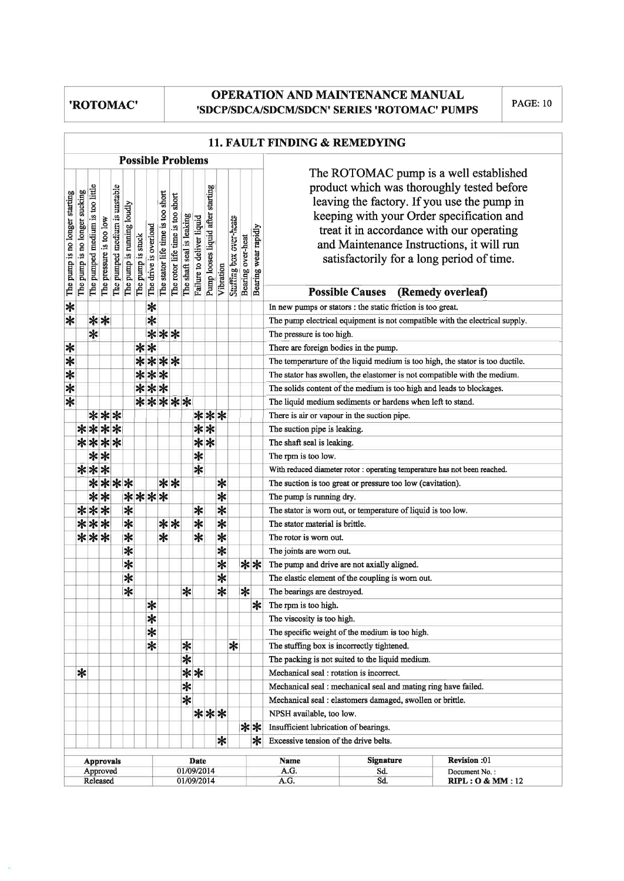# **OPERATION AND MAINTENANCE MANUAL** 'SDCP/SDCA/SDCM/SDCN' SERIES 'ROTOMAC' PUMPS

**PAGE: 10** 

|                                |                               |                                 |                         |                               |                            |                   |                          |                                   |                                  |                           |                           |                                   |                                 |                         |                   |                                                                | 11. FAULT FINDING & REMEDYING                                                                                                                                                                                                                                                                                           |  |  |  |  |  |
|--------------------------------|-------------------------------|---------------------------------|-------------------------|-------------------------------|----------------------------|-------------------|--------------------------|-----------------------------------|----------------------------------|---------------------------|---------------------------|-----------------------------------|---------------------------------|-------------------------|-------------------|----------------------------------------------------------------|-------------------------------------------------------------------------------------------------------------------------------------------------------------------------------------------------------------------------------------------------------------------------------------------------------------------------|--|--|--|--|--|
|                                |                               |                                 |                         |                               |                            |                   | <b>Possible Problems</b> |                                   |                                  |                           |                           |                                   |                                 |                         |                   |                                                                |                                                                                                                                                                                                                                                                                                                         |  |  |  |  |  |
| The pump is no longer starting | The pump is no longer sucking | The pumped medium is too little | The pressure is too low | The pumped medium is unstable | The pump is running loudly | The pump is stuck | The drive is overload    | The stator life time is too short | The rotor life time is too short | The shaft seal is leaking | Failure to deliver liquid | Pump looses liquid after starting | Vibration                       | Stuffing box over-heats | Bearing over-heat | Bearing wear rapidly                                           | The ROTOMAC pump is a well established<br>product which was thoroughly tested before<br>leaving the factory. If you use the pump in<br>keeping with your Order specification and<br>treat it in accordance with our operating<br>and Maintenance Instructions, it will run<br>satisfactorily for a long period of time. |  |  |  |  |  |
|                                |                               |                                 |                         |                               |                            |                   |                          |                                   |                                  |                           |                           |                                   |                                 |                         |                   |                                                                | <b>Possible Causes</b><br>(Remedy overleaf)                                                                                                                                                                                                                                                                             |  |  |  |  |  |
| $\ast$                         |                               |                                 |                         |                               |                            |                   | $\ast$                   |                                   |                                  |                           |                           |                                   |                                 |                         |                   |                                                                | In new pumps or stators : the static friction is too great.                                                                                                                                                                                                                                                             |  |  |  |  |  |
| $\overline{\ast}$              |                               |                                 | $**$                    |                               |                            |                   | $\ast$                   |                                   |                                  |                           |                           |                                   |                                 |                         |                   |                                                                | The pump electrical equipment is not compatible with the electrical supply.                                                                                                                                                                                                                                             |  |  |  |  |  |
|                                |                               | $\ast$                          |                         |                               |                            |                   |                          | ***                               |                                  |                           |                           |                                   |                                 |                         |                   |                                                                | The pressure is too high.                                                                                                                                                                                                                                                                                               |  |  |  |  |  |
| $\ast$                         |                               |                                 |                         |                               |                            |                   | $**$                     |                                   |                                  |                           |                           |                                   |                                 |                         |                   |                                                                | There are foreign bodies in the pump.                                                                                                                                                                                                                                                                                   |  |  |  |  |  |
| $\overline{\ast}$              |                               |                                 |                         |                               |                            |                   | ****                     |                                   |                                  |                           |                           |                                   |                                 |                         |                   |                                                                | The temperarture of the liquid medium is too high, the stator is too ductile.                                                                                                                                                                                                                                           |  |  |  |  |  |
| $\ast$                         |                               |                                 |                         |                               |                            |                   | ***                      |                                   |                                  |                           |                           |                                   |                                 |                         |                   |                                                                | The stator has swollen, the elastomer is not compatible with the medium.                                                                                                                                                                                                                                                |  |  |  |  |  |
| $\overline{\ast}$              |                               |                                 |                         |                               |                            |                   | ***                      |                                   |                                  |                           |                           |                                   |                                 |                         |                   |                                                                | The solids content of the medium is too high and leads to blockages.                                                                                                                                                                                                                                                    |  |  |  |  |  |
| $\overline{\ast}$              |                               |                                 |                         |                               |                            |                   | *****                    |                                   |                                  |                           |                           |                                   |                                 |                         |                   |                                                                | The liquid medium sediments or hardens when left to stand.                                                                                                                                                                                                                                                              |  |  |  |  |  |
|                                |                               |                                 | ***                     |                               |                            |                   |                          |                                   |                                  |                           |                           |                                   | ***                             |                         |                   |                                                                | There is air or vapour in the suction pipe.                                                                                                                                                                                                                                                                             |  |  |  |  |  |
|                                |                               |                                 | ****                    |                               |                            |                   |                          |                                   |                                  |                           |                           | $**$                              |                                 |                         |                   |                                                                | The suction pipe is leaking.                                                                                                                                                                                                                                                                                            |  |  |  |  |  |
|                                |                               |                                 | ****                    |                               |                            |                   |                          |                                   |                                  |                           |                           | $**$                              |                                 |                         |                   |                                                                | The shaft seal is leaking.                                                                                                                                                                                                                                                                                              |  |  |  |  |  |
|                                |                               |                                 | $**$                    |                               |                            |                   |                          |                                   |                                  |                           | $\overline{\ast}$         |                                   |                                 |                         |                   |                                                                | The rpm is too low.                                                                                                                                                                                                                                                                                                     |  |  |  |  |  |
|                                |                               |                                 | ***                     |                               |                            |                   |                          |                                   |                                  |                           | $\overline{\ast}$         |                                   |                                 |                         |                   |                                                                | With reduced diameter rotor : operating temperature has not been reached.                                                                                                                                                                                                                                               |  |  |  |  |  |
|                                |                               |                                 | ****                    |                               |                            |                   |                          |                                   | $**$                             |                           |                           |                                   | $\ast$                          |                         |                   |                                                                | The suction is too great or pressure too low (cavitation).                                                                                                                                                                                                                                                              |  |  |  |  |  |
|                                |                               |                                 | $**$                    |                               |                            |                   | ****                     |                                   |                                  |                           |                           |                                   | $\overline{\ast}$               |                         |                   |                                                                | The pump is running dry.                                                                                                                                                                                                                                                                                                |  |  |  |  |  |
|                                |                               |                                 | ***                     |                               | $\ast$                     |                   |                          |                                   |                                  |                           | ∗                         |                                   | $\overline{\ast}$               |                         |                   |                                                                | The stator is worn out, or temperature of liquid is too low.                                                                                                                                                                                                                                                            |  |  |  |  |  |
|                                |                               |                                 | ***                     |                               | $\overline{\ast}$          |                   |                          |                                   | $**$                             |                           | $\star$                   |                                   | $\overline{\ast}$               |                         |                   |                                                                | The stator material is brittle.                                                                                                                                                                                                                                                                                         |  |  |  |  |  |
|                                |                               |                                 | ***                     |                               | $\overline{\ast}$          |                   |                          | $\overline{\ast}$                 |                                  |                           | $\ast$                    |                                   | $\overline{\ast}$               |                         |                   |                                                                | The rotor is worn out.                                                                                                                                                                                                                                                                                                  |  |  |  |  |  |
|                                |                               |                                 |                         |                               | $\overline{\ast}$          |                   |                          |                                   |                                  |                           |                           |                                   | $\ast$                          |                         |                   |                                                                | The joints are worn out.                                                                                                                                                                                                                                                                                                |  |  |  |  |  |
|                                |                               |                                 |                         |                               | $\overline{\ast}$          |                   |                          |                                   |                                  |                           |                           |                                   | $\overline{\ast}$               |                         |                   | ∗∗                                                             | The pump and drive are not axially aligned.                                                                                                                                                                                                                                                                             |  |  |  |  |  |
|                                |                               |                                 |                         |                               | $\overline{\ast}$          |                   |                          |                                   |                                  |                           |                           |                                   | $\overline{\ast}$               |                         |                   |                                                                | The elastic element of the coupling is worn out.                                                                                                                                                                                                                                                                        |  |  |  |  |  |
|                                |                               |                                 |                         |                               | ∗                          |                   |                          |                                   |                                  | *                         |                           |                                   | $\ast$                          |                         | ∗                 |                                                                | The bearings are destroyed.                                                                                                                                                                                                                                                                                             |  |  |  |  |  |
|                                |                               |                                 |                         |                               |                            |                   | ∗                        |                                   |                                  |                           |                           |                                   |                                 |                         |                   | $\ast$                                                         | The rpm is too high.                                                                                                                                                                                                                                                                                                    |  |  |  |  |  |
|                                |                               |                                 |                         |                               |                            |                   | ∗                        |                                   |                                  |                           |                           |                                   |                                 |                         |                   |                                                                | The viscosity is too high.                                                                                                                                                                                                                                                                                              |  |  |  |  |  |
|                                |                               |                                 |                         |                               |                            |                   | $\ast$                   |                                   |                                  |                           |                           |                                   |                                 |                         |                   |                                                                | The specific weight of the medium is too high.                                                                                                                                                                                                                                                                          |  |  |  |  |  |
|                                |                               |                                 |                         |                               |                            |                   | $\overline{\ast}$        |                                   |                                  | ∗                         |                           |                                   |                                 | $\ast$                  |                   |                                                                | The stuffing box is incorrectly tightened.                                                                                                                                                                                                                                                                              |  |  |  |  |  |
|                                |                               |                                 |                         |                               |                            |                   |                          |                                   |                                  | ∗                         |                           |                                   |                                 |                         |                   |                                                                | The packing is not suited to the liquid medium.                                                                                                                                                                                                                                                                         |  |  |  |  |  |
|                                | ∗                             |                                 |                         |                               |                            |                   |                          |                                   |                                  |                           | $**$                      |                                   |                                 |                         |                   |                                                                | Mechanical seal : rotation is incorrect.                                                                                                                                                                                                                                                                                |  |  |  |  |  |
|                                |                               |                                 |                         |                               |                            |                   |                          |                                   |                                  | $\ast$                    |                           |                                   |                                 |                         |                   | Mechanical seal : mechanical seal and mating ring have failed. |                                                                                                                                                                                                                                                                                                                         |  |  |  |  |  |
|                                |                               |                                 |                         |                               |                            |                   |                          |                                   |                                  | $\ast$                    |                           |                                   |                                 |                         |                   | Mechanical seal : elastomers damaged, swollen or brittle.      |                                                                                                                                                                                                                                                                                                                         |  |  |  |  |  |
|                                |                               |                                 |                         |                               |                            |                   |                          |                                   |                                  |                           |                           |                                   | ***                             |                         |                   | NPSH available, too low.                                       |                                                                                                                                                                                                                                                                                                                         |  |  |  |  |  |
|                                |                               |                                 |                         |                               |                            |                   |                          |                                   |                                  |                           |                           |                                   |                                 |                         |                   | **<br>Insufficient lubrication of bearings.                    |                                                                                                                                                                                                                                                                                                                         |  |  |  |  |  |
|                                |                               |                                 |                         |                               |                            |                   |                          |                                   |                                  |                           |                           |                                   | $\ast$                          |                         |                   | ∗                                                              | Excessive tension of the drive belts.                                                                                                                                                                                                                                                                                   |  |  |  |  |  |
|                                |                               |                                 |                         |                               |                            |                   |                          |                                   |                                  |                           |                           |                                   |                                 |                         |                   |                                                                | <b>Signature</b><br>Revision :01                                                                                                                                                                                                                                                                                        |  |  |  |  |  |
|                                |                               |                                 | <b>Approvals</b>        |                               |                            |                   |                          |                                   |                                  |                           | <b>Date</b>               |                                   |                                 |                         |                   |                                                                | <b>Name</b><br>A.G.<br>Sd.<br>Document No.:                                                                                                                                                                                                                                                                             |  |  |  |  |  |
|                                | Approved<br>Released          |                                 |                         | 01/09/2014<br>01/09/2014      |                            |                   |                          |                                   |                                  |                           |                           |                                   | A.G.<br>Sd.<br>RIPL: O & MM: 12 |                         |                   |                                                                |                                                                                                                                                                                                                                                                                                                         |  |  |  |  |  |

# 11 EATH THEMINE & DEMENITIO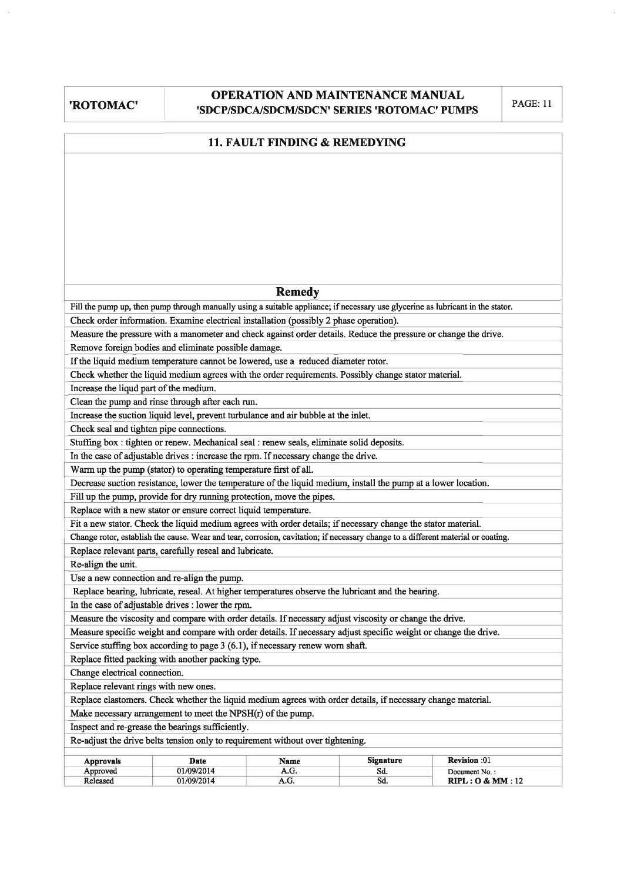# **OPERATION AND MAINTENANCE MANUAL** 'SDCP/SDCA/SDCM/SDCN' SERIES 'ROTOMAC' PUMPS

**PAGE: 11** 

|                                                                                |                                                                                                                                                                         | 11. FAULT FINDING & REMEDYING |                  |                  |  |  |  |  |  |  |  |
|--------------------------------------------------------------------------------|-------------------------------------------------------------------------------------------------------------------------------------------------------------------------|-------------------------------|------------------|------------------|--|--|--|--|--|--|--|
|                                                                                |                                                                                                                                                                         |                               |                  |                  |  |  |  |  |  |  |  |
|                                                                                |                                                                                                                                                                         |                               |                  |                  |  |  |  |  |  |  |  |
|                                                                                |                                                                                                                                                                         |                               |                  |                  |  |  |  |  |  |  |  |
|                                                                                |                                                                                                                                                                         |                               |                  |                  |  |  |  |  |  |  |  |
|                                                                                |                                                                                                                                                                         |                               |                  |                  |  |  |  |  |  |  |  |
|                                                                                |                                                                                                                                                                         |                               |                  |                  |  |  |  |  |  |  |  |
|                                                                                |                                                                                                                                                                         |                               |                  |                  |  |  |  |  |  |  |  |
|                                                                                |                                                                                                                                                                         |                               |                  |                  |  |  |  |  |  |  |  |
|                                                                                |                                                                                                                                                                         |                               |                  |                  |  |  |  |  |  |  |  |
|                                                                                |                                                                                                                                                                         | <b>Remedy</b>                 |                  |                  |  |  |  |  |  |  |  |
|                                                                                | Fill the pump up, then pump through manually using a suitable appliance; if necessary use glycerine as lubricant in the stator.                                         |                               |                  |                  |  |  |  |  |  |  |  |
|                                                                                | Check order information. Examine electrical installation (possibly 2 phase operation).                                                                                  |                               |                  |                  |  |  |  |  |  |  |  |
|                                                                                | Measure the pressure with a manometer and check against order details. Reduce the pressure or change the drive.<br>Remove foreign bodies and eliminate possible damage. |                               |                  |                  |  |  |  |  |  |  |  |
|                                                                                | If the liquid medium temperature cannot be lowered, use a reduced diameter rotor.                                                                                       |                               |                  |                  |  |  |  |  |  |  |  |
|                                                                                | Check whether the liquid medium agrees with the order requirements. Possibly change stator material.                                                                    |                               |                  |                  |  |  |  |  |  |  |  |
| Increase the liqud part of the medium.                                         |                                                                                                                                                                         |                               |                  |                  |  |  |  |  |  |  |  |
|                                                                                | Clean the pump and rinse through after each run.                                                                                                                        |                               |                  |                  |  |  |  |  |  |  |  |
|                                                                                | Increase the suction liquid level, prevent turbulance and air bubble at the inlet.                                                                                      |                               |                  |                  |  |  |  |  |  |  |  |
| Check seal and tighten pipe connections.                                       |                                                                                                                                                                         |                               |                  |                  |  |  |  |  |  |  |  |
|                                                                                | Stuffing box : tighten or renew. Mechanical seal : renew seals, eliminate solid deposits.                                                                               |                               |                  |                  |  |  |  |  |  |  |  |
|                                                                                | In the case of adjustable drives : increase the rpm. If necessary change the drive.                                                                                     |                               |                  |                  |  |  |  |  |  |  |  |
|                                                                                | Warm up the pump (stator) to operating temperature first of all.                                                                                                        |                               |                  |                  |  |  |  |  |  |  |  |
|                                                                                | Decrease suction resistance, lower the temperature of the liquid medium, install the pump at a lower location.                                                          |                               |                  |                  |  |  |  |  |  |  |  |
|                                                                                | Fill up the pump, provide for dry running protection, move the pipes.                                                                                                   |                               |                  |                  |  |  |  |  |  |  |  |
|                                                                                | Replace with a new stator or ensure correct liquid temperature.                                                                                                         |                               |                  |                  |  |  |  |  |  |  |  |
|                                                                                | Fit a new stator. Check the liquid medium agrees with order details; if necessary change the stator material.                                                           |                               |                  |                  |  |  |  |  |  |  |  |
|                                                                                | Change rotor, establish the cause. Wear and tear, corrosion, cavitation; if necessary change to a different material or coating.                                        |                               |                  |                  |  |  |  |  |  |  |  |
| Re-align the unit.                                                             | Replace relevant parts, carefully reseal and lubricate.                                                                                                                 |                               |                  |                  |  |  |  |  |  |  |  |
|                                                                                | Use a new connection and re-align the pump.                                                                                                                             |                               |                  |                  |  |  |  |  |  |  |  |
|                                                                                | Replace bearing, lubricate, reseal. At higher temperatures observe the lubricant and the bearing.                                                                       |                               |                  |                  |  |  |  |  |  |  |  |
|                                                                                | In the case of adjustable drives : lower the rpm.                                                                                                                       |                               |                  |                  |  |  |  |  |  |  |  |
|                                                                                | Measure the viscosity and compare with order details. If necessary adjust viscosity or change the drive.                                                                |                               |                  |                  |  |  |  |  |  |  |  |
|                                                                                | Measure specific weight and compare with order details. If necessary adjust specific weight or change the drive.                                                        |                               |                  |                  |  |  |  |  |  |  |  |
|                                                                                | Service stuffing box according to page 3 (6.1), if necessary renew worn shaft.                                                                                          |                               |                  |                  |  |  |  |  |  |  |  |
|                                                                                | Replace fitted packing with another packing type.                                                                                                                       |                               |                  |                  |  |  |  |  |  |  |  |
| Change electrical connection.                                                  |                                                                                                                                                                         |                               |                  |                  |  |  |  |  |  |  |  |
| Replace relevant rings with new ones.                                          |                                                                                                                                                                         |                               |                  |                  |  |  |  |  |  |  |  |
|                                                                                | Replace elastomers. Check whether the liquid medium agrees with order details, if necessary change material.                                                            |                               |                  |                  |  |  |  |  |  |  |  |
|                                                                                | Make necessary arrangement to meet the $NPSH(r)$ of the pump.                                                                                                           |                               |                  |                  |  |  |  |  |  |  |  |
|                                                                                | Inspect and re-grease the bearings sufficiently.                                                                                                                        |                               |                  |                  |  |  |  |  |  |  |  |
| Re-adjust the drive belts tension only to requirement without over tightening. |                                                                                                                                                                         |                               |                  |                  |  |  |  |  |  |  |  |
| <b>Approvals</b>                                                               | Date                                                                                                                                                                    | Name                          | <b>Signature</b> | Revision :01     |  |  |  |  |  |  |  |
| Approved                                                                       | 01/09/2014                                                                                                                                                              | A.G.                          | Sd.<br>Sd.       | Document No.:    |  |  |  |  |  |  |  |
| Released                                                                       | 01/09/2014                                                                                                                                                              | A.G.                          |                  | RIPL: O & MM: 12 |  |  |  |  |  |  |  |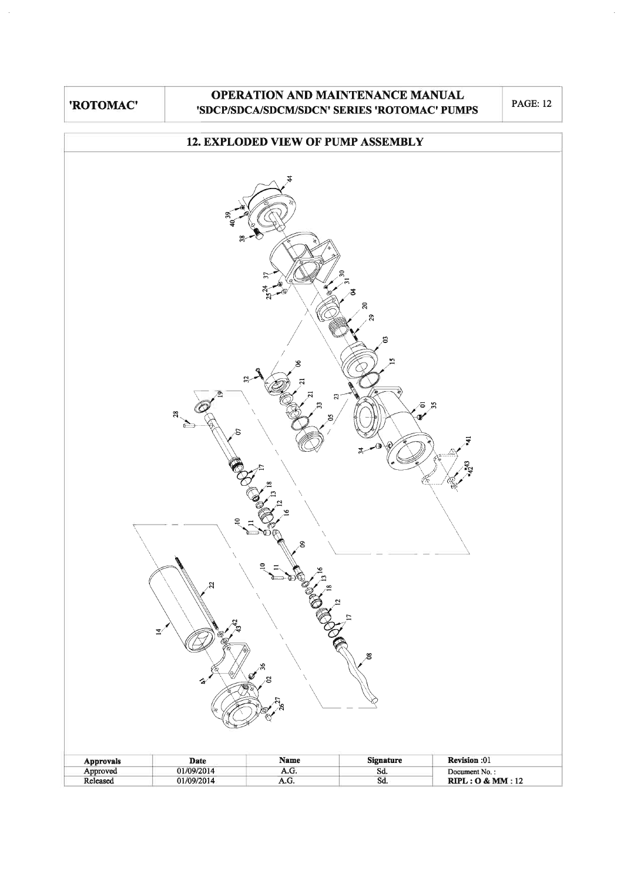# OPERATION AND MAINTENANCE MANUAL 'SDCP/SDCA/SDCM/SDCN' SERIES 'ROTOMAC' PUMPS

**PAGE: 12** 

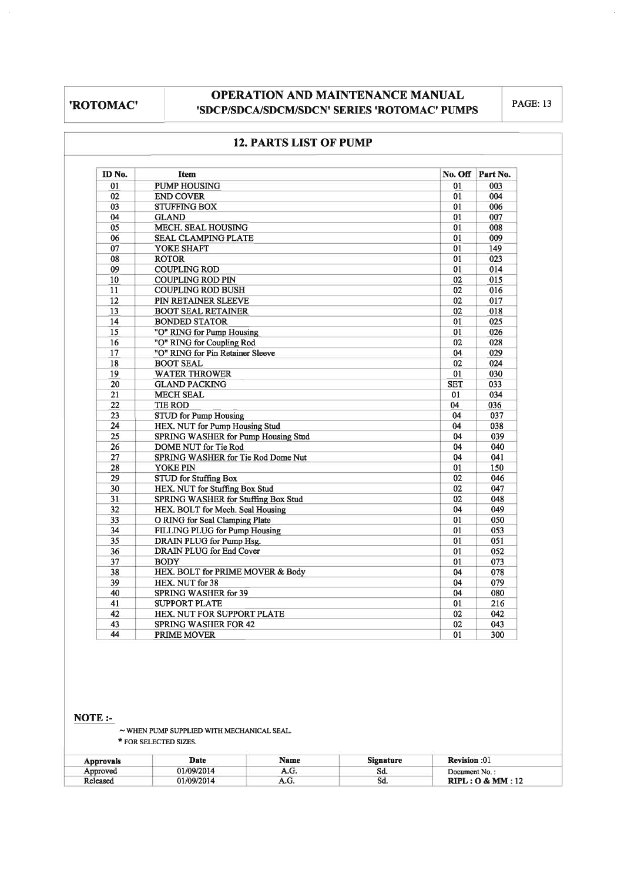# OPERATION AND MAINTENANCE MANUAL 'SDCP/SDCA/SDCM/SDCN' SERIES 'ROTOMAC' PUMPS

**PAGE: 13** 

| ID No.          | Item                                       |            | No. Off Part No. |
|-----------------|--------------------------------------------|------------|------------------|
| 01              | <b>PUMP HOUSING</b>                        | 01         | 003              |
| 02              | <b>END COVER</b>                           | 01         | 004              |
| 03              | <b>STUFFING BOX</b>                        | 01         | 006              |
| 04              | <b>GLAND</b>                               | 01         | 007              |
| 05              | <b>MECH. SEAL HOUSING</b>                  | 01         | 008              |
| 06              | <b>SEAL CLAMPING PLATE</b>                 | 01         | 009              |
| 07              | YOKE SHAFT                                 | 01         | 149              |
| 08              | <b>ROTOR</b>                               | 01         | 023              |
| 09              | <b>COUPLING ROD</b>                        | 01         | 014              |
| 10              | <b>COUPLING ROD PIN</b>                    | 02         | 015              |
| 11              | <b>COUPLING ROD BUSH</b>                   | 02         | 016              |
| 12              | PIN RETAINER SLEEVE                        | 02         | 017              |
| 13              | <b>BOOT SEAL RETAINER</b>                  | 02         | 018              |
| 14              | <b>BONDED STATOR</b>                       | 01         | 025              |
| 15              | "O" RING for Pump Housing                  | 01         | 026              |
| 16              | "O" RING for Coupling Rod                  | 02         | 028              |
| 17              | "O" RING for Pin Retainer Sleeve           | 04         | 029              |
| 18              | <b>BOOT SEAL</b>                           | 02         | 024              |
| 19              | <b>WATER THROWER</b>                       | 01         | 030              |
| 20              | <b>GLAND PACKING</b>                       | <b>SET</b> | 033              |
| 21              | <b>MECH SEAL</b>                           | 01         | 034              |
| 22              | <b>TIE ROD</b>                             | 04         | 036              |
| 23              | <b>STUD</b> for Pump Housing               | 04         | 037              |
| 24              | HEX. NUT for Pump Housing Stud             | 04         | 038              |
| 25              | <b>SPRING WASHER for Pump Housing Stud</b> | 04         | 039              |
| 26              | DOME NUT for Tie Rod                       | 04         | 040              |
| 27              | SPRING WASHER for Tie Rod Dome Nut         | 04         | 041              |
| 28              | YOKE PIN                                   | 01         | 150              |
| 29              | <b>STUD</b> for Stuffing Box               | 02         | 046              |
| 30              | HEX. NUT for Stuffing Box Stud             | 02         | 047              |
| 31              | <b>SPRING WASHER for Stuffing Box Stud</b> | 02         | 048              |
| 32              | HEX. BOLT for Mech. Seal Housing           | 04         | 049              |
| 33              | O RING for Seal Clamping Plate             | 01         | 050              |
| 34              | FILLING PLUG for Pump Housing              | 01         | 053              |
| 35              | DRAIN PLUG for Pump Hsg.                   | 01         | 051              |
| 36              | <b>DRAIN PLUG</b> for End Cover            | 01         | 052              |
| $\overline{37}$ | <b>BODY</b>                                | 01         | 073              |
| 38              | HEX. BOLT for PRIME MOVER & Body           | 04         | 078              |
| 39              | HEX. NUT for 38                            | 04         | 079              |
| 40              | <b>SPRING WASHER for 39</b>                | 04         | 080              |
| 41              | <b>SUPPORT PLATE</b>                       | 01         | 216              |
| 42              | HEX. NUT FOR SUPPORT PLATE                 | 02         | $\overline{042}$ |
| 43              | <b>SPRING WASHER FOR 42</b>                | 02         | 043              |
| 44              | <b>PRIME MOVER</b>                         | 01         | 300              |

# 12 DADTS I IST OF BUMB

# $NOTE:$

 $\sim$  WHEN PUMP SUPPLIED WITH MECHANICAL SEAL. \* FOR SELECTED SIZES.

| Approvals | Date       | <b>Name</b> | <b>Signature</b> | Revision :01     |
|-----------|------------|-------------|------------------|------------------|
| Approved  | 01/09/2014 | A.G.        | Sd.              | Document No.:    |
| Released  | 01/09/2014 | A.U.        | Sd.              | RIPL: O & MM: 12 |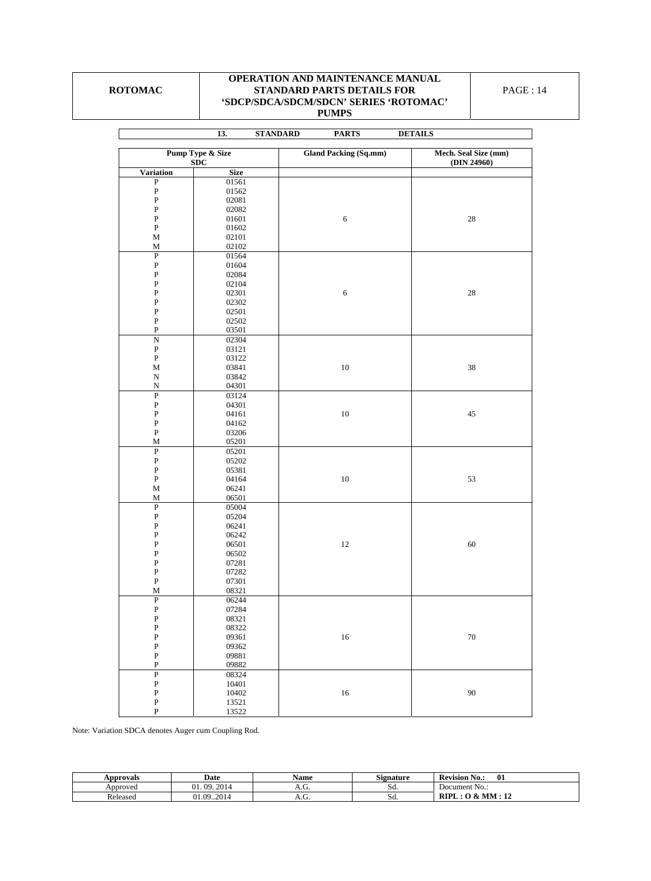### **ROTOMAC**

 $\mathbf{r}$ 

## **OPERATION AND MAINTENANCE MANUAL STANDARD PARTS DETAILS FOR 'SDCP/SDCA/SDCM/SDCN' SERIES 'ROTOMAC' PUMPS**

|                                    | 13.<br><b>STANDARD</b> | <b>PARTS</b>                 | <b>DETAILS</b>       |
|------------------------------------|------------------------|------------------------------|----------------------|
|                                    |                        |                              |                      |
| <b>Pump Type &amp; Size</b><br>SDC |                        | <b>Gland Packing (Sq.mm)</b> | Mech. Seal Size (mm) |
| <b>Variation</b>                   | <b>Size</b>            |                              | (DIN 24960)          |
| $\overline{\mathbf{P}}$            | 01561                  |                              |                      |
| ${\bf P}$                          | 01562                  |                              |                      |
| ${\bf P}$                          | 02081                  |                              |                      |
| ${\bf P}$                          | 02082                  |                              |                      |
| ${\bf P}$                          | 01601                  | $\sqrt{6}$                   | $28\,$               |
| ${\bf P}$                          | 01602                  |                              |                      |
| М                                  | 02101                  |                              |                      |
| $\mathbf M$                        | 02102                  |                              |                      |
| ${\bf P}$                          | 01564                  |                              |                      |
| ${\bf P}$                          | 01604                  |                              |                      |
| ${\bf P}$                          | 02084                  |                              |                      |
| ${\bf P}$                          | 02104                  |                              |                      |
| ${\bf P}$                          | 02301                  | $\sqrt{6}$                   | $28\,$               |
| ${\bf P}$                          | 02302                  |                              |                      |
| ${\bf P}$                          | 02501                  |                              |                      |
| ${\bf P}$                          | 02502                  |                              |                      |
| ${\bf P}$                          | 03501                  |                              |                      |
| $\overline{N}$                     | 02304                  |                              |                      |
| ${\bf P}$                          | 03121                  |                              |                      |
| ${\bf P}$                          | 03122                  |                              |                      |
| $\mathbf{M}$                       | 03841                  | $10\,$                       | $38\,$               |
| ${\bf N}$                          | 03842                  |                              |                      |
| ${\bf N}$                          | 04301                  |                              |                      |
| $\overline{P}$                     | 03124                  |                              |                      |
| ${\bf P}$                          | 04301                  |                              |                      |
| $\, {\bf P}$                       | 04161                  | $10\,$                       | 45                   |
| ${\bf P}$                          | 04162                  |                              |                      |
| $\, {\bf P}$                       | 03206                  |                              |                      |
| M                                  | 05201                  |                              |                      |
| $\, {\bf P}$                       | 05201                  |                              |                      |
| ${\bf P}$                          | 05202                  |                              |                      |
| ${\bf P}$                          | 05381                  |                              |                      |
| ${\bf P}$                          | 04164                  | $10\,$                       | 53                   |
| $\mathbf M$                        | 06241                  |                              |                      |
| $\mathbf M$                        | 06501                  |                              |                      |
| ${\bf P}$                          | 05004                  |                              |                      |
| ${\bf P}$                          | 05204                  |                              |                      |
| ${\bf P}$                          | 06241                  |                              |                      |
| ${\bf P}$<br>${\bf P}$             | 06242                  | $12\,$                       | 60                   |
| ${\bf P}$                          | 06501                  |                              |                      |
| ${\bf P}$                          | 06502<br>07281         |                              |                      |
| ${\bf P}$                          | 07282                  |                              |                      |
| ${\bf P}$                          | 07301                  |                              |                      |
| M                                  | 08321                  |                              |                      |
| $\overline{P}$                     | 06244                  |                              |                      |
| ${\bf P}$                          | 07284                  |                              |                      |
| $\, {\bf P}$                       | 08321                  |                              |                      |
| $\, {\bf P}$                       | 08322                  |                              |                      |
| $\, {\bf P}$                       | 09361                  | $16\,$                       | $70\,$               |
| $\, {\bf P}$                       | 09362                  |                              |                      |
| $\, {\bf P}$                       | 09881                  |                              |                      |
| $\, {\bf P}$                       | 09882                  |                              |                      |
| $\overline{P}$                     | 08324                  |                              |                      |
| ${\bf P}$                          | 10401                  |                              |                      |
| ${\bf P}$                          | 10402                  | $16\,$                       | 90                   |
| ${\bf P}$                          | 13521                  |                              |                      |
| ${\bf P}$                          | 13522                  |                              |                      |

Note: Variation SDCA denotes Auger cum Coupling Rod.

| Approvals | Date                               | Name | C.<br>Signature | $\blacksquare$<br>. .<br>01<br><b>Revision</b><br>No.: |
|-----------|------------------------------------|------|-----------------|--------------------------------------------------------|
| Approved  | 2014<br>09.<br>,,                  | A.U. | Sa.             | Document No.:                                          |
| Released  | 0.201<br>$^{\circ}$<br>$^{\Omega}$ | л.ч. | Sa.             | <b>RIP</b><br>, MM<br>$\sim$<br>$\mathcal{R}_{\tau}$   |